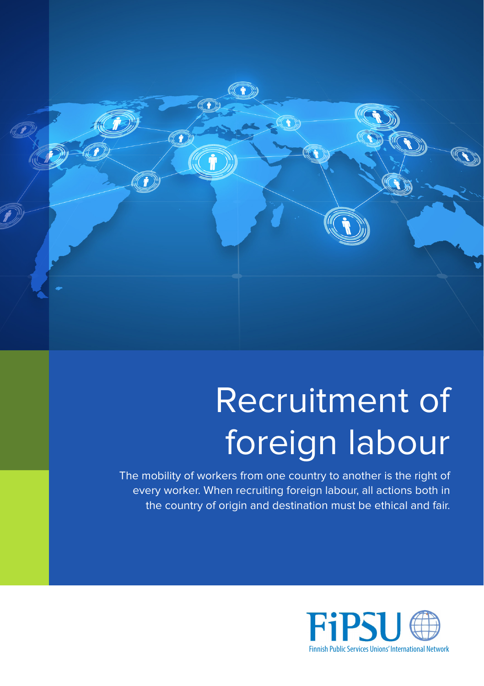

## Recruitment of foreign labour

The mobility of workers from one country to another is the right of every worker. When recruiting foreign labour, all actions both in the country of origin and destination must be ethical and fair.

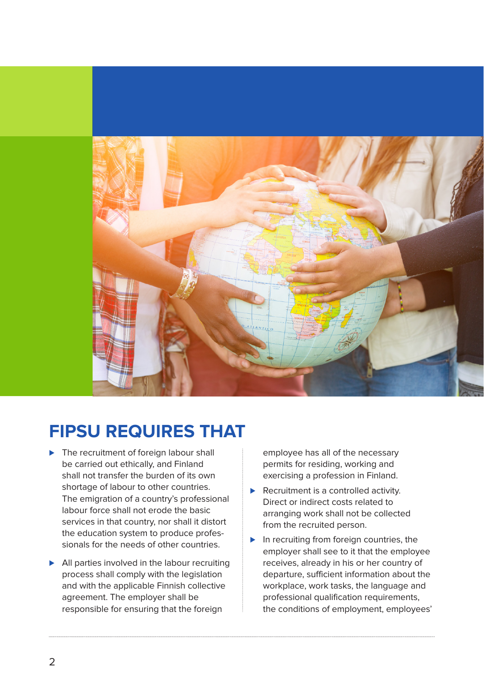

## **FIPSU REQUIRES THAT**

- ► The recruitment of foreign labour shall be carried out ethically, and Finland shall not transfer the burden of its own shortage of labour to other countries. The emigration of a country's professional labour force shall not erode the basic services in that country, nor shall it distort the education system to produce professionals for the needs of other countries.
- ► All parties involved in the labour recruiting process shall comply with the legislation and with the applicable Finnish collective agreement. The employer shall be responsible for ensuring that the foreign

employee has all of the necessary permits for residing, working and exercising a profession in Finland.

- ► Recruitment is a controlled activity. Direct or indirect costs related to arranging work shall not be collected from the recruited person.
- ► In recruiting from foreign countries, the employer shall see to it that the employee receives, already in his or her country of departure, sufficient information about the workplace, work tasks, the language and professional qualification requirements, the conditions of employment, employees'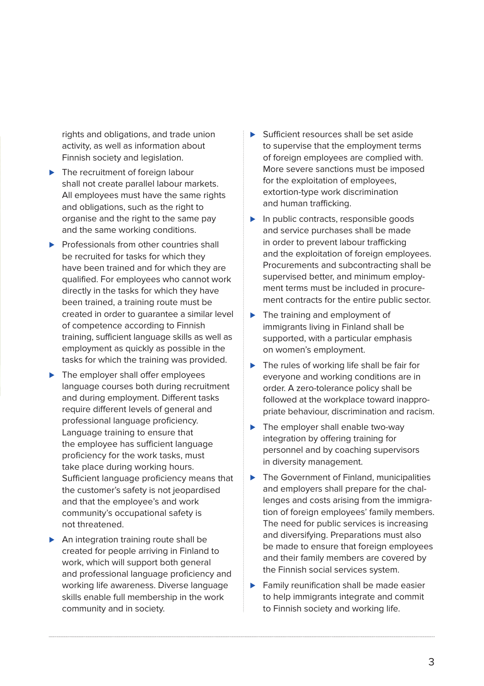rights and obligations, and trade union activity, as well as information about Finnish society and legislation.

- ► The recruitment of foreign labour shall not create parallel labour markets. All employees must have the same rights and obligations, such as the right to organise and the right to the same pay and the same working conditions.
- ▶ Professionals from other countries shall be recruited for tasks for which they have been trained and for which they are qualified. For employees who cannot work directly in the tasks for which they have been trained, a training route must be created in order to guarantee a similar level of competence according to Finnish training, sufficient language skills as well as employment as quickly as possible in the tasks for which the training was provided.
- ► The employer shall offer employees language courses both during recruitment and during employment. Different tasks require different levels of general and professional language proficiency. Language training to ensure that the employee has sufficient language proficiency for the work tasks, must take place during working hours. Sufficient language proficiency means that the customer's safety is not jeopardised and that the employee's and work community's occupational safety is not threatened.
- ▶ An integration training route shall be created for people arriving in Finland to work, which will support both general and professional language proficiency and working life awareness. Diverse language skills enable full membership in the work community and in society.
- ⊲ Sufficient resources shall be set aside to supervise that the employment terms of foreign employees are complied with. More severe sanctions must be imposed for the exploitation of employees, extortion-type work discrimination and human trafficking.
- ► In public contracts, responsible goods and service purchases shall be made in order to prevent labour trafficking and the exploitation of foreign employees. Procurements and subcontracting shall be supervised better, and minimum employment terms must be included in procurement contracts for the entire public sector.
- ► The training and employment of immigrants living in Finland shall be supported, with a particular emphasis on women's employment.
- ► The rules of working life shall be fair for everyone and working conditions are in order. A zero-tolerance policy shall be followed at the workplace toward inappropriate behaviour, discrimination and racism.
- ► The employer shall enable two-way integration by offering training for personnel and by coaching supervisors in diversity management.
- ▶ The Government of Finland, municipalities and employers shall prepare for the challenges and costs arising from the immigration of foreign employees' family members. The need for public services is increasing and diversifying. Preparations must also be made to ensure that foreign employees and their family members are covered by the Finnish social services system.
- ► Family reunification shall be made easier to help immigrants integrate and commit to Finnish society and working life.